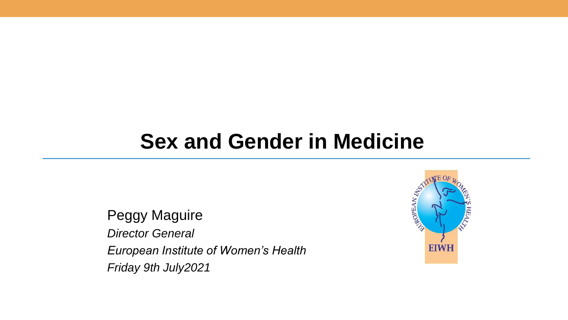### **Sex and Gender in Medicine**

Peggy Maguire *Director General European Institute of Women's Health*

*Friday 9th July2021*

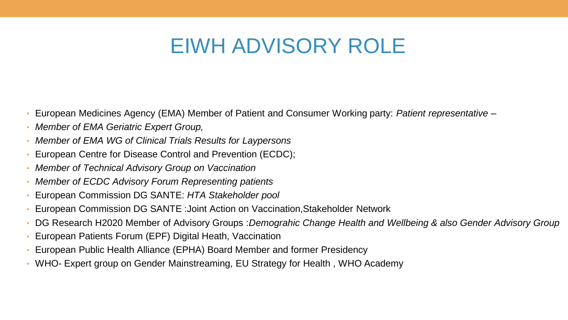### EIWH ADVISORY ROLE

- European Medicines Agency (EMA) Member of Patient and Consumer Working party: *Patient representative –*
- *Member of EMA Geriatric Expert Group,*
- *Member of EMA WG of Clinical Trials Results for Laypersons*
- European Centre for Disease Control and Prevention (ECDC);
- *Member of Technical Advisory Group on Vaccination*
- *Member of ECDC Advisory Forum Representing patients*
- European Commission DG SANTE: *HTA Stakeholder pool*
- European Commission DG SANTE :Joint Action on Vaccination,Stakeholder Network
- DG Research H2020 Member of Advisory Groups :*Demograhic Change Health and Wellbeing & also Gender Advisory Group*
- European Patients Forum (EPF) Digital Heath, Vaccination
- European Public Health Alliance (EPHA) Board Member and former Presidency
- WHO- Expert group on Gender Mainstreaming, EU Strategy for Health , WHO Academy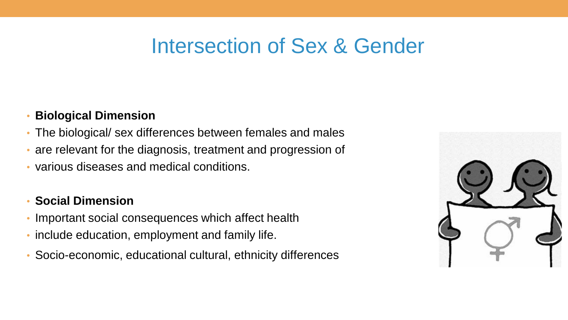### Intersection of Sex & Gender

#### • **Biological Dimension**

- The biological/ sex differences between females and males
- are relevant for the diagnosis, treatment and progression of
- various diseases and medical conditions.

### • **Social Dimension**

- Important social consequences which affect health
- include education, employment and family life.
- Socio-economic, educational cultural, ethnicity differences

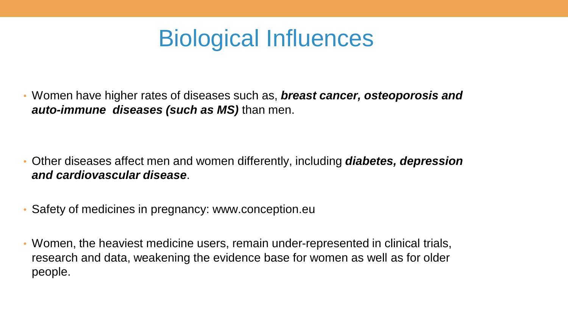# Biological Influences

• Women have higher rates of diseases such as, *breast cancer, osteoporosis and auto-immune diseases (such as MS)* than men.

- Other diseases affect men and women differently, including *diabetes, depression and cardiovascular disease*.
- Safety of medicines in pregnancy: www.conception.eu
- Women, the heaviest medicine users, remain under-represented in clinical trials, research and data, weakening the evidence base for women as well as for older people.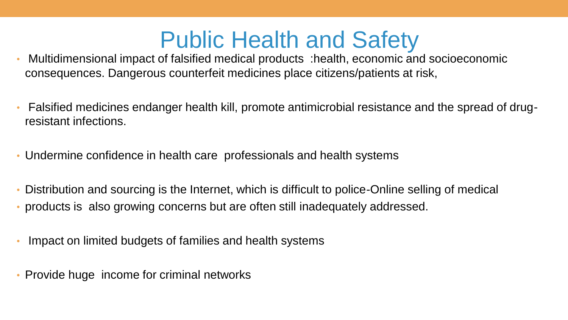## Public Health and Safety

- Multidimensional impact of falsified medical products :health, economic and socioeconomic consequences. Dangerous counterfeit medicines place citizens/patients at risk,
- Falsified medicines endanger health kill, promote antimicrobial resistance and the spread of drugresistant infections.
- Undermine confidence in health care professionals and health systems
- Distribution and sourcing is the Internet, which is difficult to police-Online selling of medical
- products is also growing concerns but are often still inadequately addressed.
- Impact on limited budgets of families and health systems
- Provide huge income for criminal networks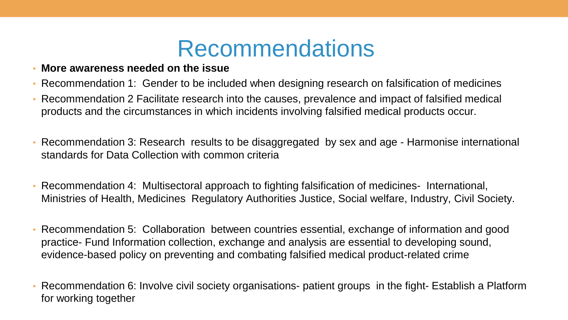## Recommendations

- **More awareness needed on the issue**
- Recommendation 1: Gender to be included when designing research on falsification of medicines
- Recommendation 2 Facilitate research into the causes, prevalence and impact of falsified medical products and the circumstances in which incidents involving falsified medical products occur.
- Recommendation 3: Research results to be disaggregated by sex and age Harmonise international standards for Data Collection with common criteria
- Recommendation 4: Multisectoral approach to fighting falsification of medicines- International, Ministries of Health, Medicines Regulatory Authorities Justice, Social welfare, Industry, Civil Society.
- Recommendation 5: Collaboration between countries essential, exchange of information and good practice- Fund Information collection, exchange and analysis are essential to developing sound, evidence-based policy on preventing and combating falsified medical product-related crime
- Recommendation 6: Involve civil society organisations- patient groups in the fight- Establish a Platform for working together